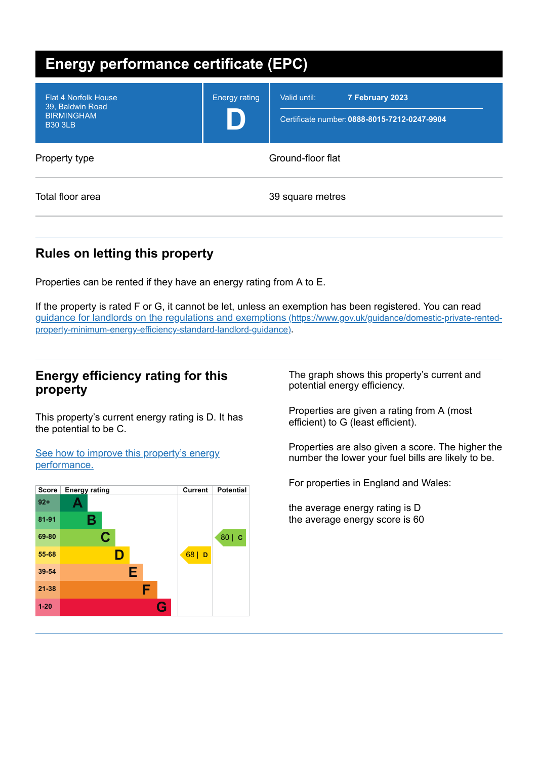| <b>Energy performance certificate (EPC)</b>                                            |                      |                                                                                 |  |
|----------------------------------------------------------------------------------------|----------------------|---------------------------------------------------------------------------------|--|
| <b>Flat 4 Norfolk House</b><br>39, Baldwin Road<br><b>BIRMINGHAM</b><br><b>B30 3LB</b> | <b>Energy rating</b> | Valid until:<br>7 February 2023<br>Certificate number: 0888-8015-7212-0247-9904 |  |
| Property type                                                                          | Ground-floor flat    |                                                                                 |  |
| Total floor area                                                                       | 39 square metres     |                                                                                 |  |

# **Rules on letting this property**

Properties can be rented if they have an energy rating from A to E.

If the property is rated F or G, it cannot be let, unless an exemption has been registered. You can read guidance for landlords on the regulations and exemptions (https://www.gov.uk/guidance/domestic-private-rented[property-minimum-energy-efficiency-standard-landlord-guidance\)](https://www.gov.uk/guidance/domestic-private-rented-property-minimum-energy-efficiency-standard-landlord-guidance).

## **Energy efficiency rating for this property**

This property's current energy rating is D. It has the potential to be C.

See how to improve this property's energy [performance.](#page-2-0)



The graph shows this property's current and potential energy efficiency.

Properties are given a rating from A (most efficient) to G (least efficient).

Properties are also given a score. The higher the number the lower your fuel bills are likely to be.

For properties in England and Wales:

the average energy rating is D the average energy score is 60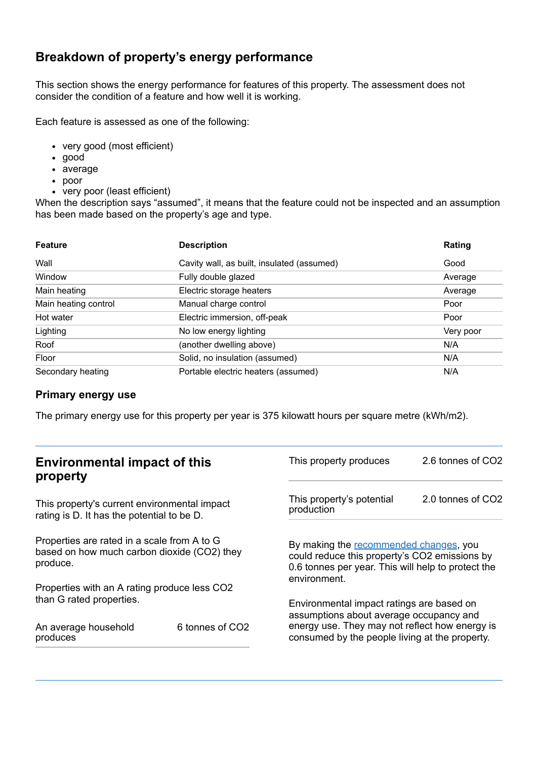## **Breakdown of property's energy performance**

This section shows the energy performance for features of this property. The assessment does not consider the condition of a feature and how well it is working.

Each feature is assessed as one of the following:

- very good (most efficient)
- good
- average
- poor
- very poor (least efficient)

When the description says "assumed", it means that the feature could not be inspected and an assumption has been made based on the property's age and type.

| <b>Feature</b>       | <b>Description</b>                         | Rating    |
|----------------------|--------------------------------------------|-----------|
| Wall                 | Cavity wall, as built, insulated (assumed) | Good      |
| Window               | Fully double glazed                        | Average   |
| Main heating         | Electric storage heaters                   | Average   |
| Main heating control | Manual charge control                      | Poor      |
| Hot water            | Electric immersion, off-peak               | Poor      |
| Lighting             | No low energy lighting                     | Very poor |
| Roof                 | (another dwelling above)                   | N/A       |
| Floor                | Solid, no insulation (assumed)             | N/A       |
| Secondary heating    | Portable electric heaters (assumed)        | N/A       |

#### **Primary energy use**

The primary energy use for this property per year is 375 kilowatt hours per square metre (kWh/m2).

| <b>Environmental impact of this</b><br>property                                                        |                             | This property produces                                                                                                                                        | 2.6 tonnes of CO2 |
|--------------------------------------------------------------------------------------------------------|-----------------------------|---------------------------------------------------------------------------------------------------------------------------------------------------------------|-------------------|
| This property's current environmental impact<br>rating is D. It has the potential to be D.             |                             | This property's potential<br>production                                                                                                                       | 2.0 tonnes of CO2 |
| Properties are rated in a scale from A to G<br>based on how much carbon dioxide (CO2) they<br>produce. |                             | By making the recommended changes, you<br>could reduce this property's CO2 emissions by<br>0.6 tonnes per year. This will help to protect the<br>environment. |                   |
| Properties with an A rating produce less CO2                                                           |                             |                                                                                                                                                               |                   |
| than G rated properties.                                                                               |                             | Environmental impact ratings are based on<br>assumptions about average occupancy and                                                                          |                   |
| An average household<br>produces                                                                       | 6 tonnes of CO <sub>2</sub> | energy use. They may not reflect how energy is<br>consumed by the people living at the property.                                                              |                   |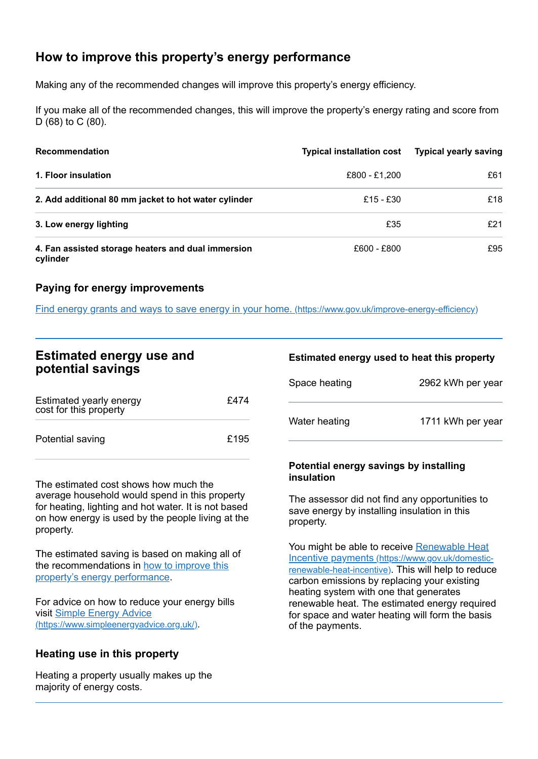# <span id="page-2-0"></span>**How to improve this property's energy performance**

Making any of the recommended changes will improve this property's energy efficiency.

If you make all of the recommended changes, this will improve the property's energy rating and score from D (68) to C (80).

| <b>Recommendation</b>                                          | <b>Typical installation cost</b> | <b>Typical yearly saving</b> |
|----------------------------------------------------------------|----------------------------------|------------------------------|
| 1. Floor insulation                                            | £800 - £1,200                    | £61                          |
| 2. Add additional 80 mm jacket to hot water cylinder           | £15 - £30                        | £18                          |
| 3. Low energy lighting                                         | £35                              | £21                          |
| 4. Fan assisted storage heaters and dual immersion<br>cylinder | £600 - £800                      | £95                          |

#### **Paying for energy improvements**

Find energy grants and ways to save energy in your home. [\(https://www.gov.uk/improve-energy-efficiency\)](https://www.gov.uk/improve-energy-efficiency)

## **Estimated energy use and potential savings**

| Estimated yearly energy<br>cost for this property | £474 |
|---------------------------------------------------|------|
| Potential saving                                  | £195 |

The estimated cost shows how much the average household would spend in this property for heating, lighting and hot water. It is not based on how energy is used by the people living at the property.

The estimated saving is based on making all of the [recommendations](#page-2-0) in how to improve this property's energy performance.

For advice on how to reduce your energy bills visit Simple Energy Advice [\(https://www.simpleenergyadvice.org.uk/\)](https://www.simpleenergyadvice.org.uk/).

#### **Heating use in this property**

Heating a property usually makes up the majority of energy costs.

#### **Estimated energy used to heat this property**

| Space heating | 2962 kWh per year |
|---------------|-------------------|
| Water heating | 1711 kWh per year |

#### **Potential energy savings by installing insulation**

The assessor did not find any opportunities to save energy by installing insulation in this property.

You might be able to receive Renewable Heat Incentive payments [\(https://www.gov.uk/domestic](https://www.gov.uk/domestic-renewable-heat-incentive)renewable-heat-incentive). This will help to reduce carbon emissions by replacing your existing heating system with one that generates renewable heat. The estimated energy required for space and water heating will form the basis of the payments.